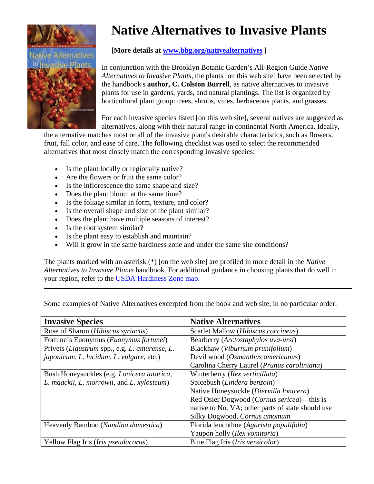

## **Native Alternatives to Invasive Plants**

## **[More details at [www.bbg.org/nativealternatives](http://www.bbg.org/nativealternatives) ]**

In conjunction with the Brooklyn Botanic Garden's All-Region Guide *Native Alternatives to Invasive Plants*, the plants [on this web site] have been selected by the handbook's **author, C. Colston Burrell**, as native alternatives to invasive plants for use in gardens, yards, and natural plantings. The list is organized by horticultural plant group: trees, shrubs, vines, herbaceous plants, and grasses.

For each invasive species listed [on this web site], several natives are suggested a s alternatives, along with their natural range in continental North America. Idea lly,

the alternative matches most or all of the invasive plant's desirable characteristics, such as flowers, fruit, fall color, and ease of care. The following checklist was used to select the recomme nded alternatives that most closely match the corresponding invasive species:

- Is the plant locally or regionally native?
- Are the flowers or fruit the same color?
- Is the inflorescence the same shape and size?
- Does the plant bloom at the same time?
- Is the foliage similar in form, texture, and color?
- Is the overall shape and size of the plant similar?
- Does the plant have multiple seasons of interest?
- Is the root system similar?
- Is the plant easy to establish and maintain?
- Will it grow in the same hardiness zone and under the same site conditions?

The plants marked with an asterisk (\*) [on the web site] are profiled in more detail in the *Native Alternatives to Invasive Plants* handbook. For additional guidance in choosing plants that do well in your region, refer to the [USDA Hardiness Zone map](http://www.usna.usda.gov/Hardzone/ushzmap.html).

Some examples of Native Alternatives excerpted from the book and web site, in no particular order:

| <b>Invasive Species</b>                         | <b>Native Alternatives</b>                          |
|-------------------------------------------------|-----------------------------------------------------|
| Rose of Sharon ( <i>Hibiscus syriacus</i> )     | Scarlet Mallow (Hibiscus coccineus)                 |
| Fortune's Euonymus ( <i>Euonymus fortunei</i> ) | Bearberry (Arctostaphylos uva-ursi)                 |
| Privets (Ligustrum spp., e.g. L. amurense, L.   | Blackhaw (Viburnum prunifolium)                     |
| <i>japonicum, L. lucidum, L. vulgare, etc.)</i> | Devil wood (Osmanthus americanus)                   |
|                                                 | Carolina Cherry Laurel (Prunus caroliniana)         |
| Bush Honeysuckles (e.g. Lonicera tatarica,      | Winterberry ( <i>Ilex verticillata</i> )            |
| L. maackii, L. morrowii, and L. xylosteum)      | Spicebush (Lindera benzoin)                         |
|                                                 | Native Honeysuckle (Diervilla lonicera)             |
|                                                 | Red Osier Dogwood ( <i>Cornus sericea</i> )—this is |
|                                                 | native to No. VA; other parts of state should use   |
|                                                 | Silky Dogwood, Cornus amomum                        |
| Heavenly Bamboo (Nandina domestica)             | Florida leucothoe (Agarista populifolia)            |
|                                                 | Yaupon holly ( <i>Ilex vomitoria</i> )              |
| Yellow Flag Iris ( <i>Iris pseudacorus</i> )    | Blue Flag Iris ( <i>Iris versicolor</i> )           |